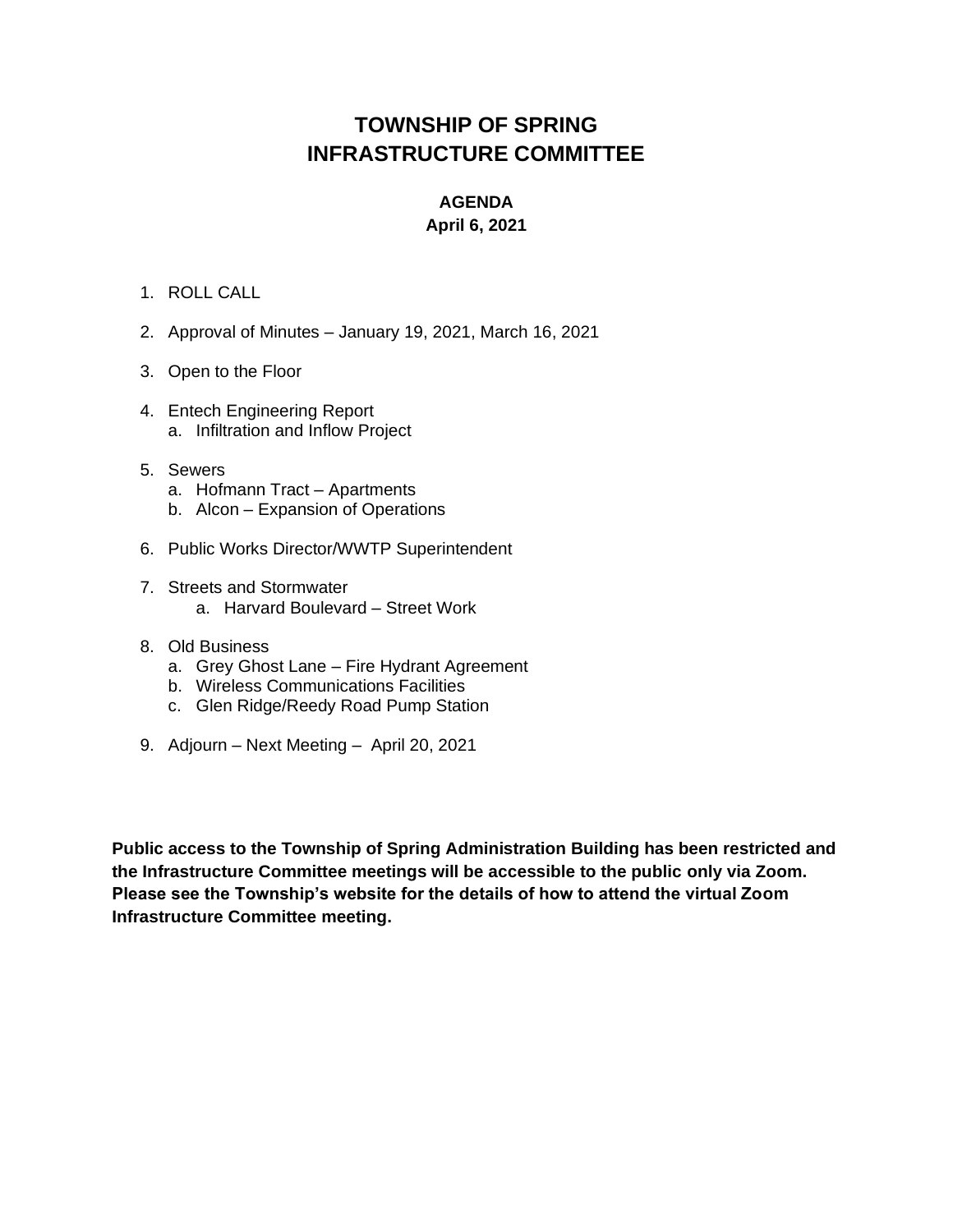## **TOWNSHIP OF SPRING INFRASTRUCTURE COMMITTEE**

## **AGENDA**

## **April 6, 2021**

## 1. ROLL CALL

- 2. Approval of Minutes January 19, 2021, March 16, 2021
- 3. Open to the Floor
- 4. Entech Engineering Report a. Infiltration and Inflow Project
- 5. Sewers
	- a. Hofmann Tract Apartments
	- b. Alcon Expansion of Operations
- 6. Public Works Director/WWTP Superintendent
- 7. Streets and Stormwater
	- a. Harvard Boulevard Street Work
- 8. Old Business
	- a. Grey Ghost Lane Fire Hydrant Agreement
	- b. Wireless Communications Facilities
	- c. Glen Ridge/Reedy Road Pump Station
- 9. Adjourn Next Meeting April 20, 2021

**Public access to the Township of Spring Administration Building has been restricted and the Infrastructure Committee meetings will be accessible to the public only via Zoom. Please see the Township's website for the details of how to attend the virtual Zoom Infrastructure Committee meeting.**